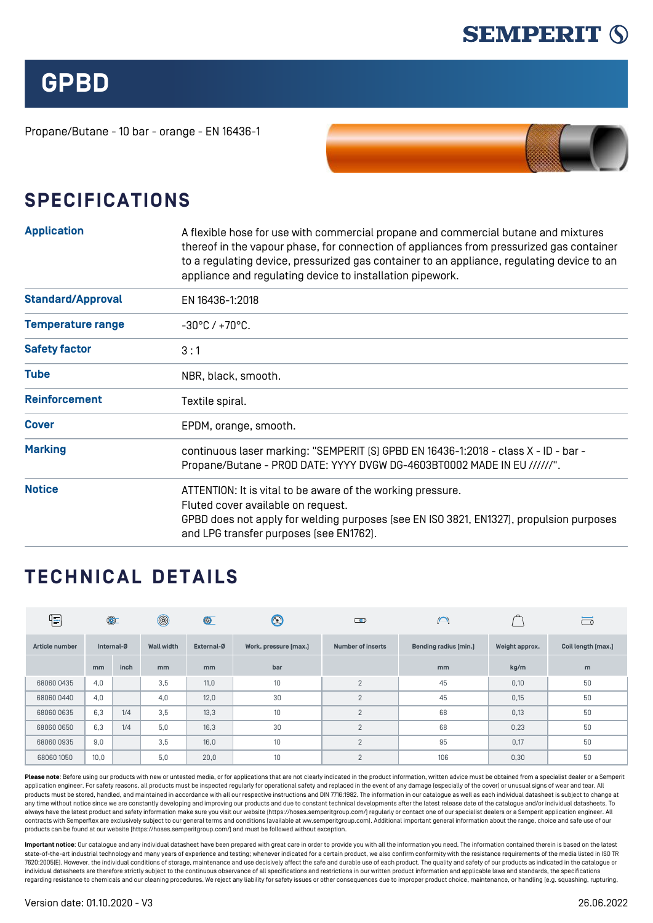

**GPBD**

Propane/Butane - 10 bar - orange - EN 16436-1



## **SPECIFICATIONS**

| <b>Application</b>       | A flexible hose for use with commercial propane and commercial butane and mixtures<br>thereof in the vapour phase, for connection of appliances from pressurized gas container<br>to a regulating device, pressurized gas container to an appliance, regulating device to an<br>appliance and regulating device to installation pipework. |  |  |  |  |
|--------------------------|-------------------------------------------------------------------------------------------------------------------------------------------------------------------------------------------------------------------------------------------------------------------------------------------------------------------------------------------|--|--|--|--|
| <b>Standard/Approval</b> | EN 16436-1:2018                                                                                                                                                                                                                                                                                                                           |  |  |  |  |
| <b>Temperature range</b> | $-30^{\circ}$ C / $+70^{\circ}$ C.                                                                                                                                                                                                                                                                                                        |  |  |  |  |
| <b>Safety factor</b>     | 3:1                                                                                                                                                                                                                                                                                                                                       |  |  |  |  |
| <b>Tube</b>              | NBR, black, smooth.                                                                                                                                                                                                                                                                                                                       |  |  |  |  |
| <b>Reinforcement</b>     | Textile spiral.                                                                                                                                                                                                                                                                                                                           |  |  |  |  |
| <b>Cover</b>             | EPDM, orange, smooth.                                                                                                                                                                                                                                                                                                                     |  |  |  |  |
| <b>Marking</b>           | continuous laser marking: "SEMPERIT [S] GPBD EN 16436-1:2018 - class X - ID - bar -<br>Propane/Butane - PROD DATE: YYYY DVGW DG-4603BT0002 MADE IN EU //////".                                                                                                                                                                            |  |  |  |  |
| <b>Notice</b>            | ATTENTION: It is vital to be aware of the working pressure.<br>Fluted cover available on request.<br>GPBD does not apply for welding purposes (see EN ISO 3821, EN1327), propulsion purposes<br>and LPG transfer purposes [see EN1762].                                                                                                   |  |  |  |  |

## **TECHNICAL DETAILS**

| {-             | $\circledcirc$ |      | $^{\circledR}$    | $\circledcirc$ | $\circledS$           | അ                        | $\bigcap$             |                | $\sim$ 0           |
|----------------|----------------|------|-------------------|----------------|-----------------------|--------------------------|-----------------------|----------------|--------------------|
| Article number | Internal-Ø     |      | <b>Wall width</b> | External-Ø     | Work. pressure [max.] | <b>Number of inserts</b> | Bending radius [min.] | Weight approx. | Coil length [max.] |
|                | mm             | inch | m <sub>m</sub>    | m <sub>m</sub> | bar                   |                          | mm                    | kg/m           | m                  |
| 68060 0435     | 4,0            |      | 3,5               | 11,0           | 10                    | $\overline{2}$           | 45                    | 0,10           | 50                 |
| 68060 0440     | 4,0            |      | 4,0               | 12,0           | 30                    | $\overline{2}$           | 45                    | 0,15           | 50                 |
| 68060 0635     | 6,3            | 1/4  | 3,5               | 13,3           | 10                    | $\overline{2}$           | 68                    | 0,13           | 50                 |
| 680600650      | 6,3            | 1/4  | 5,0               | 16,3           | 30                    | $\overline{2}$           | 68                    | 0,23           | 50                 |
| 68060 0935     | 9,0            |      | 3,5               | 16,0           | 10                    | $\overline{2}$           | 95                    | 0,17           | 50                 |
| 68060 1050     | 10,0           |      | 5,0               | 20,0           | 10                    | $\overline{2}$           | 106                   | 0,30           | 50                 |

Please note: Before using our products with new or untested media, or for applications that are not clearly indicated in the product information, written advice must be obtained from a specialist dealer or a Semperity application engineer. For safety reasons, all products must be inspected regularly for operational safety and replaced in the event of any damage (especially of the cover) or unusual signs of wear and tear. All products must be stored, handled, and maintained in accordance with all our respective instructions and DIN 7716:1982. The information in our catalogue as well as each individual datasheet is subject to change at any time without notice since we are constantly developing and improving our products and due to constant technical developments after the latest release date of the catalogue and/or individual datasheets. To always have the latest product and safety information make sure you visit our website ([https://hoses.semperitgroup.com/\)](https://hoses.semperitgroup.com/) regularly or contact one of our specialist dealers or a Semperit application engineer. All contracts with Semperflex are exclusively subject to our general terms and conditions (available at ww.semperitgroup.com). Additional important general information about the range, choice and safe use of our products can be found at our website (<https://hoses.semperitgroup.com/>) and must be followed without exception.

**Important notice**: Our catalogue and any individual datasheet have been prepared with great care in order to provide you with all the information you need. The information contained therein is based on the latest state-of-the-art industrial technology and many years of experience and testing; whenever indicated for a certain product, we also confirm conformity with the resistance requirements of the media listed in ISO TR 7620:2005(E). However, the individual conditions of storage, maintenance and use decisively affect the safe and durable use of each product. The quality and safety of our products as indicated in the catalogue or individual datasheets are therefore strictly subject to the continuous observance of all specifications and restrictions in our written product information and applicable laws and standards, the specifications regarding resistance to chemicals and our cleaning procedures. We reject any liability for safety issues or other consequences due to improper product choice, maintenance, or handling (e.g. squashing, rupturing,